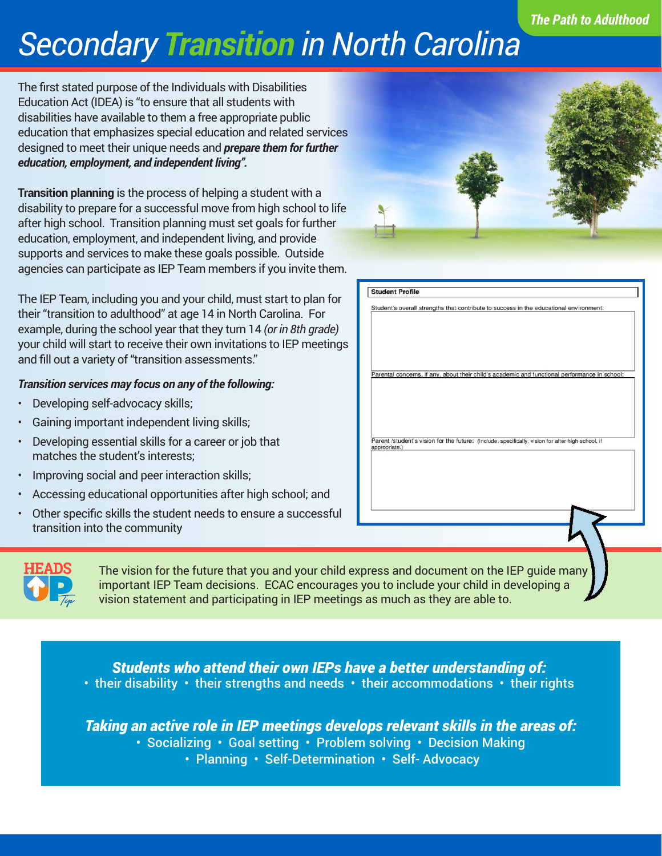## *The Path to Adulthood*

## *Secondary Transition in North Carolina*

The first stated purpose of the Individuals with Disabilities Education Act (IDEA) is "to ensure that all students with disabilities have available to them a free appropriate public education that emphasizes special education and related services designed to meet their unique needs and *prepare them for further education, employment, and independent living".*

**Transition planning** is the process of helping a student with a disability to prepare for a successful move from high school to life after high school. Transition planning must set goals for further education, employment, and independent living, and provide supports and services to make these goals possible. Outside agencies can participate as IEP Team members if you invite them.

The IEP Team, including you and your child, must start to plan for their "transition to adulthood" at age 14 in North Carolina. For example, during the school year that they turn 14 *(or in 8th grade)* your child will start to receive their own invitations to IEP meetings and fill out a variety of "transition assessments."

## *Transition services may focus on any of the following:*

- Developing self-advocacy skills;
- Gaining important independent living skills;
- Developing essential skills for a career or job that matches the student's interests;
- Improving social and peer interaction skills;
- Accessing educational opportunities after high school; and
- Other specific skills the student needs to ensure a successful transition into the community



| Student's overall strengths that contribute to success in the educational environment:                             |
|--------------------------------------------------------------------------------------------------------------------|
|                                                                                                                    |
|                                                                                                                    |
|                                                                                                                    |
| Parental concerns, if any, about their child's academic and functional performance in school:                      |
|                                                                                                                    |
|                                                                                                                    |
|                                                                                                                    |
|                                                                                                                    |
| Parent /student's vision for the future: (Include, specifically, vision for after high school, if<br>appropriate.) |
|                                                                                                                    |
|                                                                                                                    |
|                                                                                                                    |
|                                                                                                                    |
|                                                                                                                    |
|                                                                                                                    |
|                                                                                                                    |
|                                                                                                                    |



The vision for the future that you and your child ex important IEP Team decisions. ECAC encourages you to include your child vision statement and participating in IEP meetings as much as they are able to.

*Students who attend their own IEPs have a better understanding of:* • their disability • their strengths and needs • their accommodations • their rights

*Taking an active role in IEP meetings develops relevant skills in the areas of:*

- Socializing Goal setting Problem solving Decision Making
	- Planning Self-Determination Self-Advocacy